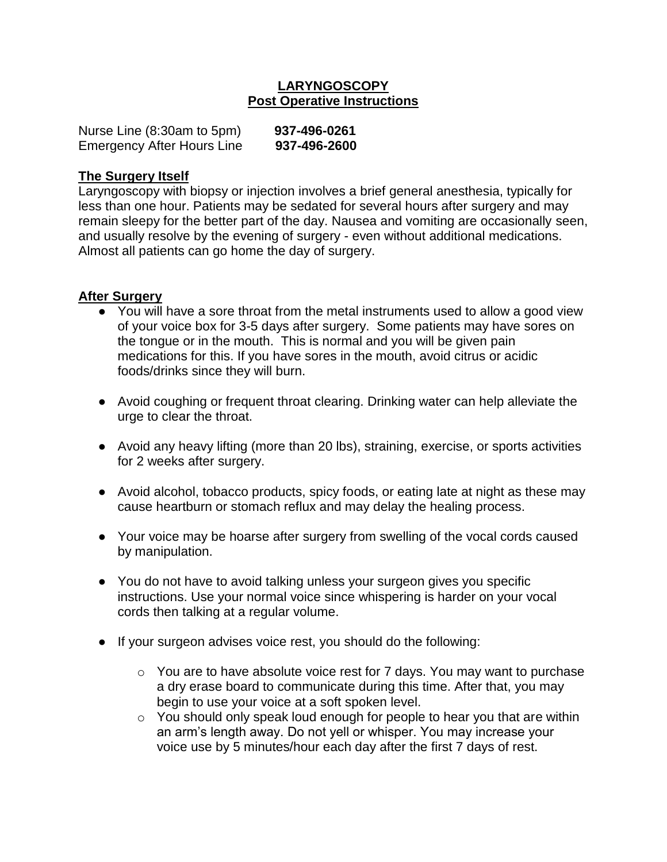### **LARYNGOSCOPY Post Operative Instructions**

| Nurse Line (8:30am to 5pm)        | 937-496-0261 |
|-----------------------------------|--------------|
| <b>Emergency After Hours Line</b> | 937-496-2600 |

#### **The Surgery Itself**

Laryngoscopy with biopsy or injection involves a brief general anesthesia, typically for less than one hour. Patients may be sedated for several hours after surgery and may remain sleepy for the better part of the day. Nausea and vomiting are occasionally seen, and usually resolve by the evening of surgery - even without additional medications. Almost all patients can go home the day of surgery.

#### **After Surgery**

- You will have a sore throat from the metal instruments used to allow a good view of your voice box for 3-5 days after surgery. Some patients may have sores on the tongue or in the mouth. This is normal and you will be given pain medications for this. If you have sores in the mouth, avoid citrus or acidic foods/drinks since they will burn.
- Avoid coughing or frequent throat clearing. Drinking water can help alleviate the urge to clear the throat.
- Avoid any heavy lifting (more than 20 lbs), straining, exercise, or sports activities for 2 weeks after surgery.
- Avoid alcohol, tobacco products, spicy foods, or eating late at night as these may cause heartburn or stomach reflux and may delay the healing process.
- Your voice may be hoarse after surgery from swelling of the vocal cords caused by manipulation.
- You do not have to avoid talking unless your surgeon gives you specific instructions. Use your normal voice since whispering is harder on your vocal cords then talking at a regular volume.
- If your surgeon advises voice rest, you should do the following:
	- $\circ$  You are to have absolute voice rest for 7 days. You may want to purchase a dry erase board to communicate during this time. After that, you may begin to use your voice at a soft spoken level.
	- $\circ$  You should only speak loud enough for people to hear you that are within an arm's length away. Do not yell or whisper. You may increase your voice use by 5 minutes/hour each day after the first 7 days of rest.